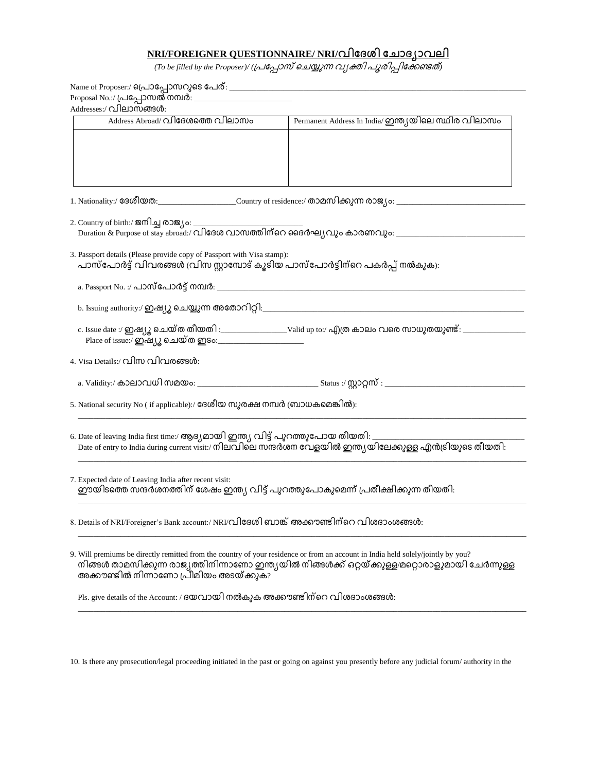## **NRI/FOREIGNER QUESTIONNAIRE/ NRI/**

(To be filled by the Proposer)/ (പ്രപ്പോസ് ചെയ്യുന്ന വ്യക്തി പൂരിപ്പിക്കേണ്ടത്)

| Addresses:/ വിലാസങ്ങൾ:                                                                                                                                                                       |                                                                                                                                              |  |  |  |  |
|----------------------------------------------------------------------------------------------------------------------------------------------------------------------------------------------|----------------------------------------------------------------------------------------------------------------------------------------------|--|--|--|--|
| Address Abroad/ വിദേശത്തെ വിലാസം                                                                                                                                                             | Permanent Address In India/ ഇന്ത്യയിലെ സ്ഥിര വിലാസം                                                                                          |  |  |  |  |
|                                                                                                                                                                                              |                                                                                                                                              |  |  |  |  |
|                                                                                                                                                                                              |                                                                                                                                              |  |  |  |  |
|                                                                                                                                                                                              |                                                                                                                                              |  |  |  |  |
|                                                                                                                                                                                              |                                                                                                                                              |  |  |  |  |
|                                                                                                                                                                                              |                                                                                                                                              |  |  |  |  |
|                                                                                                                                                                                              |                                                                                                                                              |  |  |  |  |
| 1. Nationality:/ ദേശീയത:________________________Country of residence:/ താമസിക്കുന്ന രാജ്യം: __________________                                                                               |                                                                                                                                              |  |  |  |  |
|                                                                                                                                                                                              |                                                                                                                                              |  |  |  |  |
|                                                                                                                                                                                              |                                                                                                                                              |  |  |  |  |
|                                                                                                                                                                                              |                                                                                                                                              |  |  |  |  |
|                                                                                                                                                                                              |                                                                                                                                              |  |  |  |  |
| 3. Passport details (Please provide copy of Passport with Visa stamp):<br>പാസ്പോർട്ട് വിവരങ്ങൾ (വിസ സ്റ്റാമ്പോട് കൂടിയ പാസ്പോർട്ടിന്റെ പകർപ്പ് നൽകുക):                                       |                                                                                                                                              |  |  |  |  |
|                                                                                                                                                                                              |                                                                                                                                              |  |  |  |  |
|                                                                                                                                                                                              |                                                                                                                                              |  |  |  |  |
|                                                                                                                                                                                              |                                                                                                                                              |  |  |  |  |
|                                                                                                                                                                                              |                                                                                                                                              |  |  |  |  |
|                                                                                                                                                                                              |                                                                                                                                              |  |  |  |  |
|                                                                                                                                                                                              |                                                                                                                                              |  |  |  |  |
|                                                                                                                                                                                              |                                                                                                                                              |  |  |  |  |
|                                                                                                                                                                                              |                                                                                                                                              |  |  |  |  |
| 4. Visa Details:/ വിസ വിവരങ്ങൾ:                                                                                                                                                              |                                                                                                                                              |  |  |  |  |
|                                                                                                                                                                                              |                                                                                                                                              |  |  |  |  |
|                                                                                                                                                                                              |                                                                                                                                              |  |  |  |  |
|                                                                                                                                                                                              |                                                                                                                                              |  |  |  |  |
| 5. National security No (if applicable):/ ദേശീയ സുരക്ഷ നമ്പർ (ബാധകമെങ്കിൽ):                                                                                                                  |                                                                                                                                              |  |  |  |  |
|                                                                                                                                                                                              |                                                                                                                                              |  |  |  |  |
|                                                                                                                                                                                              |                                                                                                                                              |  |  |  |  |
| 6. Date of leaving India first time:/ ആദ്യമായി ഇന്ത്യ വിട്ട് പുറത്തുപോയ തീയതി: _<br>Date of entry to India during current visit:/ നിലവിലെ സന്ദർശന വേളയിൽ ഇന്ത്യയിലേക്കുള്ള എൻട്രിയുടെ തീയതി: |                                                                                                                                              |  |  |  |  |
|                                                                                                                                                                                              |                                                                                                                                              |  |  |  |  |
|                                                                                                                                                                                              |                                                                                                                                              |  |  |  |  |
|                                                                                                                                                                                              |                                                                                                                                              |  |  |  |  |
| 7. Expected date of Leaving India after recent visit:<br>ഈയിടത്തെ സന്ദർശനത്തിന് ശേഷം ഇന്ത്യ വിട്ട് പുറത്തുപോകുമെന്ന് പ്രതീക്ഷിക്കുന്ന തീയതി:                                                 |                                                                                                                                              |  |  |  |  |
|                                                                                                                                                                                              |                                                                                                                                              |  |  |  |  |
|                                                                                                                                                                                              |                                                                                                                                              |  |  |  |  |
|                                                                                                                                                                                              |                                                                                                                                              |  |  |  |  |
| 8. Details of NRI/Foreigner's Bank account:/ NRI/വിദേശി ബാങ്ക് അക്കൗണ്ടിന്റെ വിശദാംശങ്ങൾ:                                                                                                    |                                                                                                                                              |  |  |  |  |
|                                                                                                                                                                                              |                                                                                                                                              |  |  |  |  |
|                                                                                                                                                                                              |                                                                                                                                              |  |  |  |  |
| 9. Will premiums be directly remitted from the country of your residence or from an account in India held solely/jointly by you?                                                             |                                                                                                                                              |  |  |  |  |
|                                                                                                                                                                                              | നിങ്ങൾ താമസിക്കുന്ന രാജ്യത്തിനിന്നാണോ ഇന്ത്യയിൽ നിങ്ങൾക്ക് ഒറ്റയ്ക്കുള്ള/മറ്റൊരാളുമായി ചേർന്നുള്ള<br>അക്കൗണ്ടിൽ നിന്നാണോ പ്രീമിയം അടയ്ക്കുക? |  |  |  |  |
|                                                                                                                                                                                              |                                                                                                                                              |  |  |  |  |
|                                                                                                                                                                                              |                                                                                                                                              |  |  |  |  |
| Pls. give details of the Account: / ദയവായി നൽകുക അക്കൗണ്ടിന് റെ വിശദാംശങ്ങൾ:                                                                                                                 |                                                                                                                                              |  |  |  |  |

10. Is there any prosecution/legal proceeding initiated in the past or going on against you presently before any judicial forum/ authority in the

\_\_\_\_\_\_\_\_\_\_\_\_\_\_\_\_\_\_\_\_\_\_\_\_\_\_\_\_\_\_\_\_\_\_\_\_\_\_\_\_\_\_\_\_\_\_\_\_\_\_\_\_\_\_\_\_\_\_\_\_\_\_\_\_\_\_\_\_\_\_\_\_\_\_\_\_\_\_\_\_\_\_\_\_\_\_\_\_\_\_\_\_\_\_\_\_\_\_\_\_\_\_\_\_\_\_\_\_\_\_\_\_\_\_\_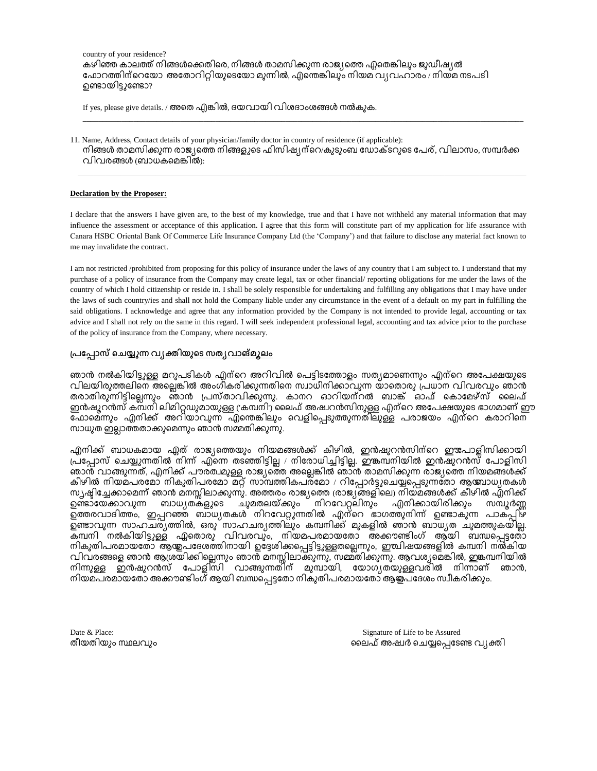country of your residence? കഴിഞ്ഞ കാലത്ത് നിങ്ങൾക്കെതിരെ, നിങ്ങൾ താമസിക്കുന്ന രാജ്യത്തെ ഫ്ലതെങ്കിലും ജുഡീഷ്യൽ ഫോറത്തിന്റെയോ അതോറിറ്റിയുടെയോ മുന്നിൽ, എന്തെങ്കിലും നിയമ വ്യവഹാരം / നിയമ നടപടി ഉണ്ടായിട്ടുണ്ടോ?

If yes, please give details. / അതെ എങ്കിൽ, ദയവായി വിശദാംശങ്ങൾ നൽകുക.

11. Name, Address, Contact details of your physician/family doctor in country of residence (if applicable): നിങ്ങൾ താമസിക്കുന്ന രാജ്യത്തെ നിങ്ങളുടെ ഫിസിഷ്യന്െകുടുംബ ഡോക്ടറുടെ പേര്, വിലാസം, സമ്പർക്ക  $\Omega$ വിവരങ്ങൾ (ബാധകമെങ്കിൽ):

\_\_\_\_\_\_\_\_\_\_\_\_\_\_\_\_\_\_\_\_\_\_\_\_\_\_\_\_\_\_\_\_\_\_\_\_\_\_\_\_\_\_\_\_\_\_\_\_\_\_\_\_\_\_\_\_\_\_\_\_\_\_\_\_\_\_\_\_\_\_\_\_\_\_\_\_\_\_\_\_\_\_\_\_\_\_\_\_\_\_\_\_\_\_\_\_\_\_\_\_\_\_\_\_\_\_\_\_\_\_\_\_\_\_\_

\_\_\_\_\_\_\_\_\_\_\_\_\_\_\_\_\_\_\_\_\_\_\_\_\_\_\_\_\_\_\_\_\_\_\_\_\_\_\_\_\_\_\_\_\_\_\_\_\_\_\_\_\_\_\_\_\_\_\_\_\_\_\_\_\_\_\_\_\_\_\_\_\_\_\_\_\_\_\_\_\_\_\_\_\_\_\_\_\_\_\_\_\_\_\_\_\_\_\_\_\_\_\_\_\_\_\_\_\_\_\_\_\_

## **Declaration by the Proposer:**

I declare that the answers I have given are, to the best of my knowledge, true and that I have not withheld any material information that may influence the assessment or acceptance of this application. I agree that this form will constitute part of my application for life assurance with Canara HSBC Oriental Bank Of Commerce Life Insurance Company Ltd (the 'Company') and that failure to disclose any material fact known to me may invalidate the contract.

I am not restricted /prohibited from proposing for this policy of insurance under the laws of any country that I am subject to. I understand that my purchase of a policy of insurance from the Company may create legal, tax or other financial/ reporting obligations for me under the laws of the country of which I hold citizenship or reside in. I shall be solely responsible for undertaking and fulfilling any obligations that I may have under the laws of such country/ies and shall not hold the Company liable under any circumstance in the event of a default on my part in fulfilling the said obligations. I acknowledge and agree that any information provided by the Company is not intended to provide legal, accounting or tax advice and I shall not rely on the same in this regard. I will seek independent professional legal, accounting and tax advice prior to the purchase of the policy of insurance from the Company, where necessary.

## <u>പ്രപ്പോസ് ചെയ്യുന്ന വ്യക്തിയുടെ സത്യവാങ്മൂലം</u>

ഞാൻ നൽകിയിട്ടുള്ള മറുപടികൾ എന്റെ അറിവിൽ പെട്ടിടത്തോളം സത്യമാണെന്നും എന്റെ അപേക്ഷയുടെ വിലയിരുത്തലിനെ അല്ലെങ്കിൽ അംഗീകരിക്കുന്നതിനെ സ്വാധീനിക്കാവുന്ന യാതൊരു പ്രധാന വിവരവും ഞാൻ തരാതിരുന്നിട്ടില്ലെന്നും ഞാൻ പ്രസ്താവിക്കുന്നു. കാനറ ഓറിയന്റൽ ബാങ്ക് ഓഫ് കൊമേഴ്സ് ലൈഫ് ' ഇൻഷുറൻസ് ക്മ്പനി ലിമിറ്റഡുമായുള്ള ('കമ്പനി') ലൈഫ് അഷ്വറൻസിനുള്ള എന്റെ അപേക്ഷയുടെ ഭാഗമാണ് ഈ ഫോമെ്നും എനിക്ക് അറിയാവുന്ന എന്തെങ്കിലും വെളിപ്പെടുത്തുന്നതിലുള്ള പരാജയം എന്റെ കരാറിനെ . സാധുത ഇല്ലാത്തതാക്കുമെന്നും ഞാൻ സമ്മതിക്കുന്നു

.എനിക്ക് ബാധകമായ ഫ്ലത് രാജ്യത്തെയും നിയമങ്ങൾക്ക് കീഴിൽ, ഇൻഷുറൻസിന്റെ ഈപോളിസിക്കായി പ്രപ്പോസ് ചെയ്യുന്നതിൽ നിന്ന് എ്ന്നെ തടഞ്ഞിട്ടില്ല / നിരോധിച്ചിട്ടില്ല. ഈങ്കമ്പനിയിൽ ഇൻഷുറൻസ് പോളിസി . ഞാന്മ് വാങ്ങുന്നത്, എനിക്ക് പൗരത്വമുള്ള രാജ്യത്തെ അല്ലെങ്കിൽ ഞാൻ താമസിക്കുന്ന രാജ്യത്തെ നിയമങ്ങൾക്ക് കീഴിൽ നിയമപരമോ നികുതിപരമോ മറ്റ് സാമ്പത്തികപര്മോ / റിപ്പോർട്ടുചെയ്യപ്പെടുന്നതോ ആയ്മ്പാധ്യതകൾ . സ്വഷ്ഠിച്ചേക്കാമെന്ന് ഞാൻ മനസ്സിലാക്കുന്നു. അത്തരം രാജ്യത്തെ രാജ്യങ്ങളിലെ) നിയ്മങ്ങൾക്ക് കീഴിൽ എനിക്ക് ണ്ടൊയേക്കാവുന്ന ബാധ (തകളുടെ ചുമതലയ്ക്കും നിറവേറ്റലിനും എനിക്കായിരിക്കും സമ്പൂർണ്ണ `ഉത്തരവാദിത്തം, ഇപ്പറഞ്ഞ് ബാധ്യതകൾ നിറവേറ്റുന്നതിൽ എന്റെ ഭാഗത്തുനിന്ന് ഉണ്ടാകുന്ന പാക്പ്പിഴ് ഉണ്ടാവുന്ന സാഹചര്്യത്തിൽ, ഒരു സാഹചര്യത്തിലും കമ്പനിക്ക് മുകളിൽ ഞാൻ ബാധ്യത ചുമത്തുകയില്ല. കമ്പനി നൽകിയിട്ടുള്ള ഏതൊരു വിവരവും, നിയമപരമായതോ അക്കൗണ്ടിംഗ് ആയി ബന്ധപ്പെട്ടതോ നികുതിപരമായതോ ആയ്പ്പദേശത്തിനായി ഉദ്ദേശിക്കപ്പെട്ടിട്ടുള്ളതല്ലെന്നും, ഈവിഷയങ്ങളിൽ കമ്പനി നൽകിയ , വിവരങ്ങളെ ഞാൻ ആശ്രയിക്കില്ലെന്നും ഞാൻ മനസ്സിലാക്കുന്നു. സമ്മ്തിക്കുന്നു. ആവശ്യമെങ്കിൽ, ഇങ്കമ്പനിയിൽ . നിന്നുള്ള ഇൻഷുറൻസ് പോളിസി വാങ്ങുന്നതിന് മുമ്പായി, യോഗ്യതയുള്ളവരിൽ നിന്നാണ് ഞാൻ, . നിയമപരമായതോ അക്കൗണ്ടിംഗ് ആയി ബന്ധപ്പെട്ടതോ നികുതിപരമായതോ ആജ്ചദേശം സ്വീകരിക്കും.

തീയതിയും സ്ഥലവും

Date & Place: Signature of Life to be Assured ലൈഫ് അഷ്വർ ചെയ്യപ്പെടേണ്ട വ്യക്തി